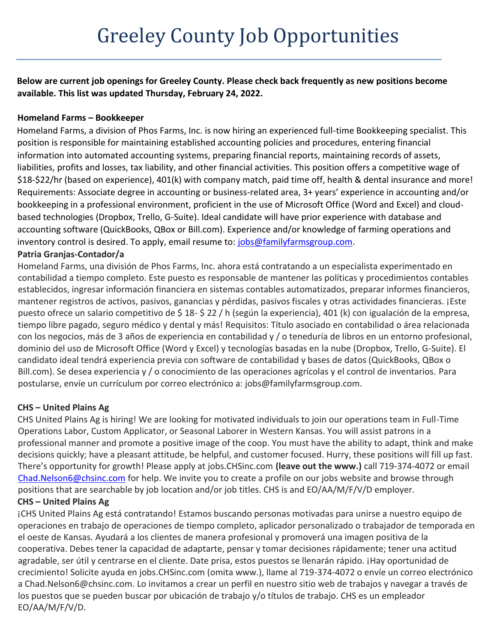**Below are current job openings for Greeley County. Please check back frequently as new positions become available. This list was updated Thursday, February 24, 2022.**

#### **Homeland Farms – Bookkeeper**

Homeland Farms, a division of Phos Farms, Inc. is now hiring an experienced full-time Bookkeeping specialist. This position is responsible for maintaining established accounting policies and procedures, entering financial information into automated accounting systems, preparing financial reports, maintaining records of assets, liabilities, profits and losses, tax liability, and other financial activities. This position offers a competitive wage of \$18-\$22/hr (based on experience), 401(k) with company match, paid time off, health & dental insurance and more! Requirements: Associate degree in accounting or business-related area, 3+ years' experience in accounting and/or bookkeeping in a professional environment, proficient in the use of Microsoft Office (Word and Excel) and cloudbased technologies (Dropbox, Trello, G-Suite). Ideal candidate will have prior experience with database and accounting software (QuickBooks, QBox or Bill.com). Experience and/or knowledge of farming operations and inventory control is desired. To apply, email resume to: [jobs@familyfarmsgroup.com.](mailto:jobs@familyfarmsgroup.com)

# **Patria Granjas-Contador/a**

Homeland Farms, una división de Phos Farms, Inc. ahora está contratando a un especialista experimentado en contabilidad a tiempo completo. Este puesto es responsable de mantener las políticas y procedimientos contables establecidos, ingresar información financiera en sistemas contables automatizados, preparar informes financieros, mantener registros de activos, pasivos, ganancias y pérdidas, pasivos fiscales y otras actividades financieras. ¡Este puesto ofrece un salario competitivo de \$ 18- \$ 22 / h (según la experiencia), 401 (k) con igualación de la empresa, tiempo libre pagado, seguro médico y dental y más! Requisitos: Título asociado en contabilidad o área relacionada con los negocios, más de 3 años de experiencia en contabilidad y / o teneduría de libros en un entorno profesional, dominio del uso de Microsoft Office (Word y Excel) y tecnologías basadas en la nube (Dropbox, Trello, G-Suite). El candidato ideal tendrá experiencia previa con software de contabilidad y bases de datos (QuickBooks, QBox o Bill.com). Se desea experiencia y / o conocimiento de las operaciones agrícolas y el control de inventarios. Para postularse, envíe un currículum por correo electrónico a: jobs@familyfarmsgroup.com.

# **CHS – United Plains Ag**

CHS United Plains Ag is hiring! We are looking for motivated individuals to join our operations team in Full-Time Operations Labor, Custom Applicator, or Seasonal Laborer in Western Kansas. You will assist patrons in a professional manner and promote a positive image of the coop. You must have the ability to adapt, think and make decisions quickly; have a pleasant attitude, be helpful, and customer focused. Hurry, these positions will fill up fast. There's opportunity for growth! Please apply at jobs.CHSinc.com **(leave out the www.)** call 719-374-4072 or email [Chad.Nelson6@chsinc.com](mailto:Chad.Nelson6@chsinc.com) for help. We invite you to create a profile on our jobs website and browse through positions that are searchable by job location and/or job titles. CHS is and EO/AA/M/F/V/D employer. **CHS – United Plains Ag**

¡CHS United Plains Ag está contratando! Estamos buscando personas motivadas para unirse a nuestro equipo de operaciones en trabajo de operaciones de tiempo completo, aplicador personalizado o trabajador de temporada en el oeste de Kansas. Ayudará a los clientes de manera profesional y promoverá una imagen positiva de la cooperativa. Debes tener la capacidad de adaptarte, pensar y tomar decisiones rápidamente; tener una actitud agradable, ser útil y centrarse en el cliente. Date prisa, estos puestos se llenarán rápido. ¡Hay oportunidad de crecimiento! Solicite ayuda en jobs.CHSinc.com (omita www.), llame al 719-374-4072 o envíe un correo electrónico a Chad.Nelson6@chsinc.com. Lo invitamos a crear un perfil en nuestro sitio web de trabajos y navegar a través de los puestos que se pueden buscar por ubicación de trabajo y/o títulos de trabajo. CHS es un empleador EO/AA/M/F/V/D.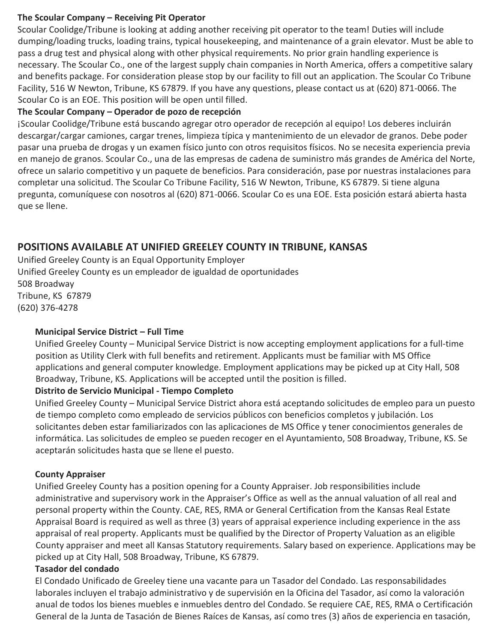#### **The Scoular Company – Receiving Pit Operator**

Scoular Coolidge/Tribune is looking at adding another receiving pit operator to the team! Duties will include dumping/loading trucks, loading trains, typical housekeeping, and maintenance of a grain elevator. Must be able to pass a drug test and physical along with other physical requirements. No prior grain handling experience is necessary. The Scoular Co., one of the largest supply chain companies in North America, offers a competitive salary and benefits package. For consideration please stop by our facility to fill out an application. The Scoular Co Tribune Facility, 516 W Newton, Tribune, KS 67879. If you have any questions, please contact us at (620) 871-0066. The Scoular Co is an EOE. This position will be open until filled.

#### **The Scoular Company – Operador de pozo de recepción**

¡Scoular Coolidge/Tribune está buscando agregar otro operador de recepción al equipo! Los deberes incluirán descargar/cargar camiones, cargar trenes, limpieza típica y mantenimiento de un elevador de granos. Debe poder pasar una prueba de drogas y un examen físico junto con otros requisitos físicos. No se necesita experiencia previa en manejo de granos. Scoular Co., una de las empresas de cadena de suministro más grandes de América del Norte, ofrece un salario competitivo y un paquete de beneficios. Para consideración, pase por nuestras instalaciones para completar una solicitud. The Scoular Co Tribune Facility, 516 W Newton, Tribune, KS 67879. Si tiene alguna pregunta, comuníquese con nosotros al (620) 871-0066. Scoular Co es una EOE. Esta posición estará abierta hasta que se llene.

# **POSITIONS AVAILABLE AT UNIFIED GREELEY COUNTY IN TRIBUNE, KANSAS**

Unified Greeley County is an Equal Opportunity Employer Unified Greeley County es un empleador de igualdad de oportunidades 508 Broadway Tribune, KS 67879 (620) 376-4278

#### **Municipal Service District – Full Time**

Unified Greeley County – Municipal Service District is now accepting employment applications for a full-time position as Utility Clerk with full benefits and retirement. Applicants must be familiar with MS Office applications and general computer knowledge. Employment applications may be picked up at City Hall, 508 Broadway, Tribune, KS. Applications will be accepted until the position is filled.

#### **Distrito de Servicio Municipal - Tiempo Completo**

Unified Greeley County – Municipal Service District ahora está aceptando solicitudes de empleo para un puesto de tiempo completo como empleado de servicios públicos con beneficios completos y jubilación. Los solicitantes deben estar familiarizados con las aplicaciones de MS Office y tener conocimientos generales de informática. Las solicitudes de empleo se pueden recoger en el Ayuntamiento, 508 Broadway, Tribune, KS. Se aceptarán solicitudes hasta que se llene el puesto.

#### **County Appraiser**

Unified Greeley County has a position opening for a County Appraiser. Job responsibilities include administrative and supervisory work in the Appraiser's Office as well as the annual valuation of all real and personal property within the County. CAE, RES, RMA or General Certification from the Kansas Real Estate Appraisal Board is required as well as three (3) years of appraisal experience including experience in the ass appraisal of real property. Applicants must be qualified by the Director of Property Valuation as an eligible County appraiser and meet all Kansas Statutory requirements. Salary based on experience. Applications may be picked up at City Hall, 508 Broadway, Tribune, KS 67879.

#### **Tasador del condado**

El Condado Unificado de Greeley tiene una vacante para un Tasador del Condado. Las responsabilidades laborales incluyen el trabajo administrativo y de supervisión en la Oficina del Tasador, así como la valoración anual de todos los bienes muebles e inmuebles dentro del Condado. Se requiere CAE, RES, RMA o Certificación General de la Junta de Tasación de Bienes Raíces de Kansas, así como tres (3) años de experiencia en tasación,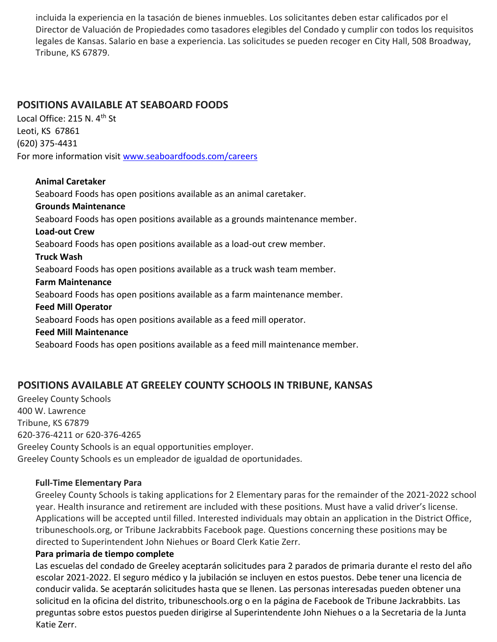incluida la experiencia en la tasación de bienes inmuebles. Los solicitantes deben estar calificados por el Director de Valuación de Propiedades como tasadores elegibles del Condado y cumplir con todos los requisitos legales de Kansas. Salario en base a experiencia. Las solicitudes se pueden recoger en City Hall, 508 Broadway, Tribune, KS 67879.

# **POSITIONS AVAILABLE AT SEABOARD FOODS**

Local Office: 215 N. 4th St Leoti, KS 67861 (620) 375-4431 For more information visit [www.seaboardfoods.com/careers](http://www.seaboardfoods.com/careers)

#### **Animal Caretaker**

Seaboard Foods has open positions available as an animal caretaker.

# **Grounds Maintenance**

Seaboard Foods has open positions available as a grounds maintenance member.

#### **Load-out Crew**

Seaboard Foods has open positions available as a load-out crew member.

#### **Truck Wash**

Seaboard Foods has open positions available as a truck wash team member.

#### **Farm Maintenance**

Seaboard Foods has open positions available as a farm maintenance member.

#### **Feed Mill Operator**

Seaboard Foods has open positions available as a feed mill operator.

#### **Feed Mill Maintenance**

Seaboard Foods has open positions available as a feed mill maintenance member.

# **POSITIONS AVAILABLE AT GREELEY COUNTY SCHOOLS IN TRIBUNE, KANSAS**

Greeley County Schools 400 W. Lawrence Tribune, KS 67879 620-376-4211 or 620-376-4265 Greeley County Schools is an equal opportunities employer. Greeley County Schools es un empleador de igualdad de oportunidades.

#### **Full-Time Elementary Para**

Greeley County Schools is taking applications for 2 Elementary paras for the remainder of the 2021-2022 school year. Health insurance and retirement are included with these positions. Must have a valid driver's license. Applications will be accepted until filled. Interested individuals may obtain an application in the District Office, tribuneschools.org, or Tribune Jackrabbits Facebook page. Questions concerning these positions may be directed to Superintendent John Niehues or Board Clerk Katie Zerr.

#### **Para primaria de tiempo complete**

Las escuelas del condado de Greeley aceptarán solicitudes para 2 parados de primaria durante el resto del año escolar 2021-2022. El seguro médico y la jubilación se incluyen en estos puestos. Debe tener una licencia de conducir valida. Se aceptarán solicitudes hasta que se llenen. Las personas interesadas pueden obtener una solicitud en la oficina del distrito, tribuneschools.org o en la página de Facebook de Tribune Jackrabbits. Las preguntas sobre estos puestos pueden dirigirse al Superintendente John Niehues o a la Secretaria de la Junta Katie Zerr.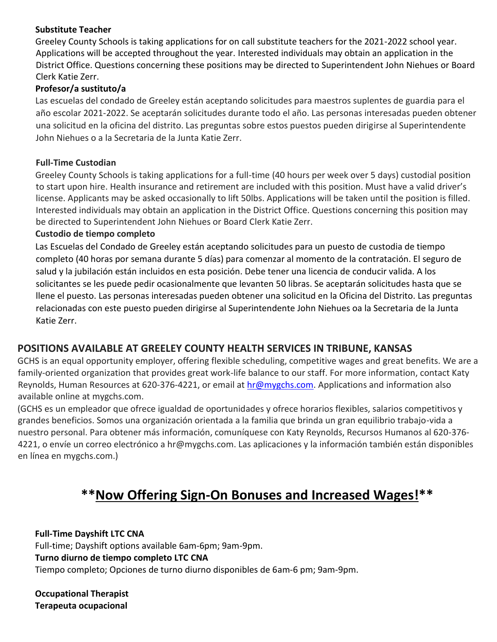#### **Substitute Teacher**

Greeley County Schools is taking applications for on call substitute teachers for the 2021-2022 school year. Applications will be accepted throughout the year. Interested individuals may obtain an application in the District Office. Questions concerning these positions may be directed to Superintendent John Niehues or Board Clerk Katie Zerr.

#### **Profesor/a sustituto/a**

Las escuelas del condado de Greeley están aceptando solicitudes para maestros suplentes de guardia para el año escolar 2021-2022. Se aceptarán solicitudes durante todo el año. Las personas interesadas pueden obtener una solicitud en la oficina del distrito. Las preguntas sobre estos puestos pueden dirigirse al Superintendente John Niehues o a la Secretaria de la Junta Katie Zerr.

#### **Full-Time Custodian**

Greeley County Schools is taking applications for a full-time (40 hours per week over 5 days) custodial position to start upon hire. Health insurance and retirement are included with this position. Must have a valid driver's license. Applicants may be asked occasionally to lift 50lbs. Applications will be taken until the position is filled. Interested individuals may obtain an application in the District Office. Questions concerning this position may be directed to Superintendent John Niehues or Board Clerk Katie Zerr.

#### **Custodio de tiempo completo**

Las Escuelas del Condado de Greeley están aceptando solicitudes para un puesto de custodia de tiempo completo (40 horas por semana durante 5 días) para comenzar al momento de la contratación. El seguro de salud y la jubilación están incluidos en esta posición. Debe tener una licencia de conducir valida. A los solicitantes se les puede pedir ocasionalmente que levanten 50 libras. Se aceptarán solicitudes hasta que se llene el puesto. Las personas interesadas pueden obtener una solicitud en la Oficina del Distrito. Las preguntas relacionadas con este puesto pueden dirigirse al Superintendente John Niehues oa la Secretaria de la Junta Katie Zerr.

# **POSITIONS AVAILABLE AT GREELEY COUNTY HEALTH SERVICES IN TRIBUNE, KANSAS**

GCHS is an equal opportunity employer, offering flexible scheduling, competitive wages and great benefits. We are a family-oriented organization that provides great work-life balance to our staff. For more information, contact Katy Reynolds, Human Resources at 620-376-4221, or email at hr@mygchs.com. Applications and information also available online at mygchs.com.

(GCHS es un empleador que ofrece igualdad de oportunidades y ofrece horarios flexibles, salarios competitivos y grandes beneficios. Somos una organización orientada a la familia que brinda un gran equilibrio trabajo-vida a nuestro personal. Para obtener más información, comuníquese con Katy Reynolds, Recursos Humanos al 620-376- 4221, o envíe un correo electrónico a hr@mygchs.com. Las aplicaciones y la información también están disponibles en línea en mygchs.com.)

# **\*\*Now Offering Sign-On Bonuses and Increased Wages!\*\***

**Full-Time Dayshift LTC CNA** Full-time; Dayshift options available 6am-6pm; 9am-9pm. **Turno diurno de tiempo completo LTC CNA** Tiempo completo; Opciones de turno diurno disponibles de 6am-6 pm; 9am-9pm.

**Occupational Therapist Terapeuta ocupacional**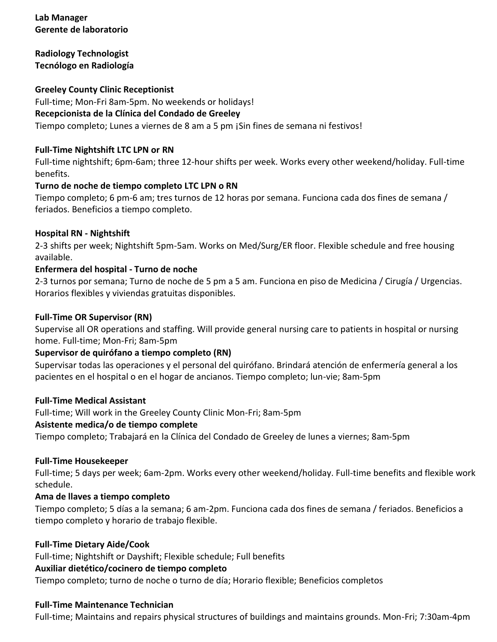# **Lab Manager Gerente de laboratorio**

**Radiology Technologist Tecnólogo en Radiología**

**Greeley County Clinic Receptionist** Full-time; Mon-Fri 8am-5pm. No weekends or holidays! **Recepcionista de la Clínica del Condado de Greeley** Tiempo completo; Lunes a viernes de 8 am a 5 pm ¡Sin fines de semana ni festivos!

#### **Full-Time Nightshift LTC LPN or RN**

Full-time nightshift; 6pm-6am; three 12-hour shifts per week. Works every other weekend/holiday. Full-time benefits.

#### **Turno de noche de tiempo completo LTC LPN o RN**

Tiempo completo; 6 pm-6 am; tres turnos de 12 horas por semana. Funciona cada dos fines de semana / feriados. Beneficios a tiempo completo.

#### **Hospital RN - Nightshift**

2-3 shifts per week; Nightshift 5pm-5am. Works on Med/Surg/ER floor. Flexible schedule and free housing available.

#### **Enfermera del hospital - Turno de noche**

2-3 turnos por semana; Turno de noche de 5 pm a 5 am. Funciona en piso de Medicina / Cirugía / Urgencias. Horarios flexibles y viviendas gratuitas disponibles.

#### **Full-Time OR Supervisor (RN)**

Supervise all OR operations and staffing. Will provide general nursing care to patients in hospital or nursing home. Full-time; Mon-Fri; 8am-5pm

#### **Supervisor de quirófano a tiempo completo (RN)**

Supervisar todas las operaciones y el personal del quirófano. Brindará atención de enfermería general a los pacientes en el hospital o en el hogar de ancianos. Tiempo completo; lun-vie; 8am-5pm

#### **Full-Time Medical Assistant**

Full-time; Will work in the Greeley County Clinic Mon-Fri; 8am-5pm

#### **Asistente medica/o de tiempo complete**

Tiempo completo; Trabajará en la Clínica del Condado de Greeley de lunes a viernes; 8am-5pm

#### **Full-Time Housekeeper**

Full-time; 5 days per week; 6am-2pm. Works every other weekend/holiday. Full-time benefits and flexible work schedule.

#### **Ama de llaves a tiempo completo**

Tiempo completo; 5 días a la semana; 6 am-2pm. Funciona cada dos fines de semana / feriados. Beneficios a tiempo completo y horario de trabajo flexible.

#### **Full-Time Dietary Aide/Cook**

Full-time; Nightshift or Dayshift; Flexible schedule; Full benefits

#### **Auxiliar dietético/cocinero de tiempo completo**

Tiempo completo; turno de noche o turno de día; Horario flexible; Beneficios completos

#### **Full-Time Maintenance Technician**

Full-time; Maintains and repairs physical structures of buildings and maintains grounds. Mon-Fri; 7:30am-4pm